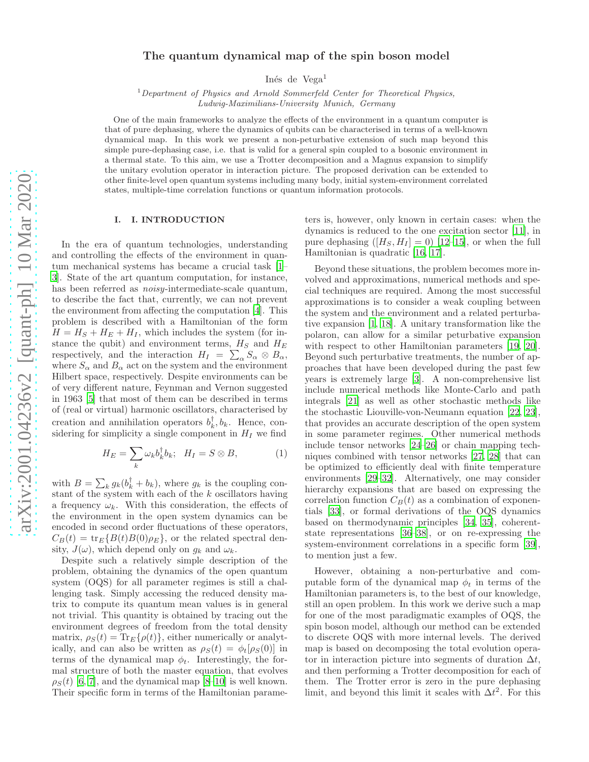# The quantum dynamical map of the spin boson model

Inés de Vega<sup>1</sup>

 $1$  Department of Physics and Arnold Sommerfeld Center for Theoretical Physics, Ludwig-Maximilians-University Munich, Germany

One of the main frameworks to analyze the effects of the environment in a quantum computer is that of pure dephasing, where the dynamics of qubits can be characterised in terms of a well-known dynamical map. In this work we present a non-peturbative extension of such map beyond this simple pure-dephasing case, i.e. that is valid for a general spin coupled to a bosonic environment in a thermal state. To this aim, we use a Trotter decomposition and a Magnus expansion to simplify the unitary evolution operator in interaction picture. The proposed derivation can be extended to other finite-level open quantum systems including many body, initial system-environment correlated states, multiple-time correlation functions or quantum information protocols.

# I. I. INTRODUCTION

In the era of quantum technologies, understanding and controlling the effects of the environment in quantum mechanical systems has became a crucial task [\[1](#page-8-0)– [3](#page-8-1)]. State of the art quantum computation, for instance, has been referred as *noisy*-intermediate-scale quantum, to describe the fact that, currently, we can not prevent the environment from affecting the computation [\[4\]](#page-8-2). This problem is described with a Hamiltonian of the form  $H = H<sub>S</sub> + H<sub>E</sub> + H<sub>I</sub>$ , which includes the system (for instance the qubit) and environment terms,  $H_S$  and  $H_E$ respectively, and the interaction  $H_I = \sum_{\alpha} S_{\alpha} \otimes B_{\alpha}$ , where  $S_{\alpha}$  and  $B_{\alpha}$  act on the system and the environment Hilbert space, respectively. Despite environments can be of very different nature, Feynman and Vernon suggested in 1963 [\[5\]](#page-8-3) that most of them can be described in terms of (real or virtual) harmonic oscillators, characterised by creation and annihilation operators  $b_k^{\dagger}, b_k$ . Hence, considering for simplicity a single component in  $H_I$  we find

$$
H_E = \sum_k \omega_k b_k^{\dagger} b_k; \quad H_I = S \otimes B,\tag{1}
$$

with  $B = \sum_k g_k(b_k^{\dagger} + b_k)$ , where  $g_k$  is the coupling constant of the system with each of the  $k$  oscillators having a frequency  $\omega_k$ . With this consideration, the effects of the environment in the open system dynamics can be encoded in second order fluctuations of these operators,  $C_B(t) = \text{tr}_E\{B(t)B(0)\rho_E\}$ , or the related spectral density,  $J(\omega)$ , which depend only on  $g_k$  and  $\omega_k$ .

Despite such a relatively simple description of the problem, obtaining the dynamics of the open quantum system (OQS) for all parameter regimes is still a challenging task. Simply accessing the reduced density matrix to compute its quantum mean values is in general not trivial. This quantity is obtained by tracing out the environment degrees of freedom from the total density matrix,  $\rho_S(t) = \text{Tr}_E\{\rho(t)\}\$ , either numerically or analytically, and can also be written as  $\rho_S(t) = \phi_t[\rho_S(0)]$  in terms of the dynamical map  $\phi_t$ . Interestingly, the formal structure of both the master equation, that evolves  $\rho_S(t)$  [\[6,](#page-8-4) [7\]](#page-8-5), and the dynamical map [\[8](#page-8-6)[–10](#page-8-7)] is well known. Their specific form in terms of the Hamiltonian parameters is, however, only known in certain cases: when the dynamics is reduced to the one excitation sector [\[11\]](#page-8-8), in pure dephasing  $([H<sub>S</sub>, H<sub>I</sub>] = 0)$  [\[12](#page-8-9)[–15\]](#page-8-10), or when the full Hamiltonian is quadratic [\[16,](#page-8-11) [17\]](#page-8-12).

Beyond these situations, the problem becomes more involved and approximations, numerical methods and special techniques are required. Among the most successful approximations is to consider a weak coupling between the system and the environment and a related perturbative expansion [\[1](#page-8-0), [18](#page-8-13)]. A unitary transformation like the polaron, can allow for a similar peturbative expansion with respect to other Hamiltonian parameters [\[19,](#page-8-14) [20\]](#page-8-15). Beyond such perturbative treatments, the number of approaches that have been developed during the past few years is extremely large [\[3\]](#page-8-1). A non-comprehensive list include numerical methods like Monte-Carlo and path integrals [\[21\]](#page-8-16) as well as other stochastic methods like the stochastic Liouville-von-Neumann equation [\[22](#page-8-17), [23\]](#page-8-18), that provides an accurate description of the open system in some parameter regimes. Other numerical methods include tensor networks [\[24](#page-8-19)[–26\]](#page-8-20) or chain mapping techniques combined with tensor networks [\[27,](#page-8-21) [28\]](#page-8-22) that can be optimized to efficiently deal with finite temperature environments [\[29](#page-8-23)[–32](#page-8-24)]. Alternatively, one may consider hierarchy expansions that are based on expressing the correlation function  $C_B(t)$  as a combination of exponentials [\[33](#page-8-25)], or formal derivations of the OQS dynamics based on thermodynamic principles [\[34,](#page-8-26) [35](#page-8-27)], coherentstate representations [\[36](#page-8-28)[–38](#page-8-29)], or on re-expressing the system-environment correlations in a specific form [\[39\]](#page-8-30), to mention just a few.

However, obtaining a non-perturbative and computable form of the dynamical map  $\phi_t$  in terms of the Hamiltonian parameters is, to the best of our knowledge, still an open problem. In this work we derive such a map for one of the most paradigmatic examples of OQS, the spin boson model, although our method can be extended to discrete OQS with more internal levels. The derived map is based on decomposing the total evolution operator in interaction picture into segments of duration  $\Delta t$ , and then performing a Trotter decomposition for each of them. The Trotter error is zero in the pure dephasing limit, and beyond this limit it scales with  $\Delta t^2$ . For this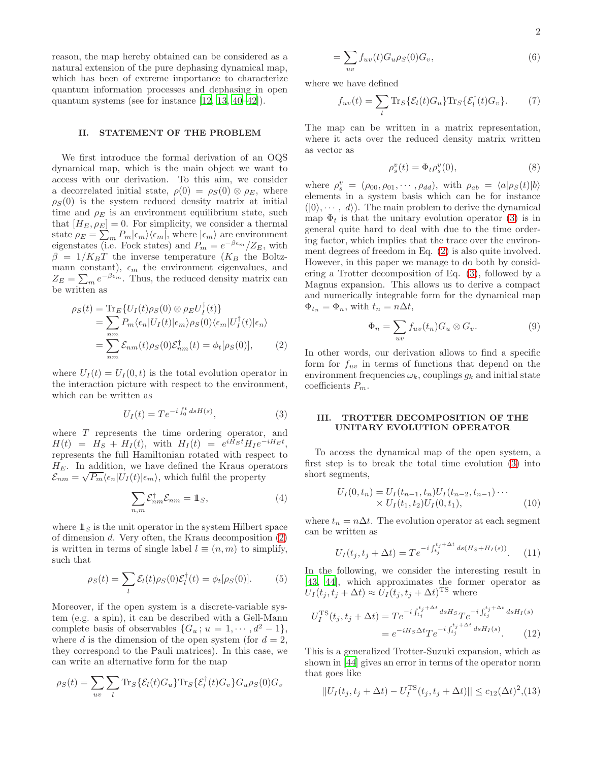reason, the map hereby obtained can be considered as a natural extension of the pure dephasing dynamical map, which has been of extreme importance to characterize quantum information processes and dephasing in open quantum systems (see for instance [\[12,](#page-8-9) [13,](#page-8-31) [40](#page-8-32)[–42\]](#page-8-33)).

# <span id="page-1-4"></span>II. STATEMENT OF THE PROBLEM

We first introduce the formal derivation of an OQS dynamical map, which is the main object we want to access with our derivation. To this aim, we consider a decorrelated initial state,  $\rho(0) = \rho_S(0) \otimes \rho_E$ , where  $\rho_S(0)$  is the system reduced density matrix at initial time and  $\rho_E$  is an environment equilibrium state, such that  $[H_E, \rho_E] = 0$ . For simplicity, we consider a thermal state  $\rho_E = \sum_m P_m |\epsilon_m\rangle\langle\epsilon_m|$ , where  $|\epsilon_m\rangle$  are environment eigenstates (i.e. Fock states) and  $P_m = e^{-\beta \epsilon_m}/Z_E$ , with  $\beta = 1/K_BT$  the inverse temperature (K<sub>B</sub> the Boltzmann constant),  $\epsilon_m$  the environment eigenvalues, and  $Z_E = \sum_m e^{-\beta \epsilon_m}$ . Thus, the reduced density matrix can be written as

<span id="page-1-0"></span>
$$
\rho_S(t) = \text{Tr}_E \{ U_I(t) \rho_S(0) \otimes \rho_E U_I^{\dagger}(t) \}
$$
  
= 
$$
\sum_{nm} P_m \langle \epsilon_n | U_I(t) | \epsilon_m \rangle \rho_S(0) \langle \epsilon_m | U_I^{\dagger}(t) | \epsilon_n \rangle
$$
  
= 
$$
\sum_{nm} \mathcal{E}_{nm}(t) \rho_S(0) \mathcal{E}_{nm}^{\dagger}(t) = \phi_t [\rho_S(0)], \qquad (2)
$$

where  $U_I(t) = U_I(0, t)$  is the total evolution operator in the interaction picture with respect to the environment, which can be written as

<span id="page-1-1"></span>
$$
U_I(t) = T e^{-i \int_0^t ds H(s)}, \tag{3}
$$

where  $T$  represents the time ordering operator, and  $H(t) = H_S + H_I(t)$ , with  $H_I(t) = e^{iH_E t} H_I e^{-iH_E t}$ , represents the full Hamiltonian rotated with respect to  $H_E$ . In addition, we have defined the Kraus operators  $\mathcal{E}_{nm} = \sqrt{P_m} \langle \epsilon_n | U_I(t) | \epsilon_m \rangle$ , which fulfil the property

$$
\sum_{n,m} \mathcal{E}_{nm}^{\dagger} \mathcal{E}_{nm} = \mathbb{1}_S, \tag{4}
$$

where  $\mathbb{1}_S$  is the unit operator in the system Hilbert space of dimension d. Very often, the Kraus decomposition [\(2\)](#page-1-0) is written in terms of single label  $l \equiv (n, m)$  to simplify, such that

$$
\rho_S(t) = \sum_l \mathcal{E}_l(t) \rho_S(0) \mathcal{E}_l^{\dagger}(t) = \phi_t[\rho_S(0)]. \tag{5}
$$

Moreover, if the open system is a discrete-variable system (e.g. a spin), it can be described with a Gell-Mann complete basis of observables  $\{G_u; u = 1, \dots, d^2 - 1\},\$ where d is the dimension of the open system (for  $d = 2$ , they correspond to the Pauli matrices). In this case, we can write an alternative form for the map

$$
\rho_S(t) = \sum_{uv} \sum_l \text{Tr}_S\{\mathcal{E}_l(t)G_u\} \text{Tr}_S\{\mathcal{E}_l^{\dagger}(t)G_v\} G_u \rho_S(0) G_v
$$

$$
=\sum_{uv} f_{uv}(t)G_u\rho_S(0)G_v,\tag{6}
$$

where we have defined

$$
f_{uv}(t) = \sum_{l} \text{Tr}_{S} \{ \mathcal{E}_{l}(t) G_{u} \} \text{Tr}_{S} \{ \mathcal{E}_{l}^{\dagger}(t) G_{v} \}.
$$
 (7)

The map can be written in a matrix representation, where it acts over the reduced density matrix written as vector as

<span id="page-1-5"></span>
$$
\rho_s^v(t) = \Phi_t \rho_s^v(0),\tag{8}
$$

where  $\rho_s^v = (\rho_{00}, \rho_{01}, \cdots, \rho_{dd})$ , with  $\rho_{ab} = \langle a | \rho_S(t) | b \rangle$ elements in a system basis which can be for instance  $(|0\rangle, \cdots, |d\rangle)$ . The main problem to derive the dynamical map  $\Phi_t$  is that the unitary evolution operator [\(3\)](#page-1-1) is in general quite hard to deal with due to the time ordering factor, which implies that the trace over the environment degrees of freedom in Eq. [\(2\)](#page-1-0) is also quite involved. However, in this paper we manage to do both by considering a Trotter decomposition of Eq. [\(3\)](#page-1-1), followed by a Magnus expansion. This allows us to derive a compact and numerically integrable form for the dynamical map  $\Phi_{t_n} = \Phi_n$ , with  $t_n = n\Delta t$ ,

$$
\Phi_n = \sum_{uv} f_{uv}(t_n) G_u \otimes G_v.
$$
\n(9)

In other words, our derivation allows to find a specific form for  $f_{uv}$  in terms of functions that depend on the environment frequencies  $\omega_k$ , couplings  $g_k$  and initial state coefficients  $P_m$ .

# III. TROTTER DECOMPOSITION OF THE UNITARY EVOLUTION OPERATOR

To access the dynamical map of the open system, a first step is to break the total time evolution [\(3\)](#page-1-1) into short segments,

<span id="page-1-2"></span>
$$
U_I(0, t_n) = U_I(t_{n-1}, t_n) U_I(t_{n-2}, t_{n-1}) \cdots
$$
  
×  $U_I(t_1, t_2) U_I(0, t_1)$ , (10)

where  $t_n = n\Delta t$ . The evolution operator at each segment can be written as

$$
U_I(t_j, t_j + \Delta t) = T e^{-i \int_{t_j}^{t_j + \Delta t} ds (H_S + H_I(s))}.
$$
 (11)

In the following, we consider the interesting result in [\[43,](#page-8-34) [44\]](#page-9-0), which approximates the former operator as  $U_I(t_j,t_j+\Delta t) \approx U_I(t_j,t_j+\Delta t)^{TS}$  where

<span id="page-1-3"></span>
$$
U_I^{\rm TS}(t_j, t_j + \Delta t) = T e^{-i \int_{t_j}^{t_j + \Delta t} ds H_S} T e^{-i \int_{t_j}^{t_j + \Delta t} ds H_I(s)}
$$
  
= 
$$
e^{-iH_S \Delta t} T e^{-i \int_{t_j}^{t_j + \Delta t} ds H_I(s)}.
$$
 (12)

This is a generalized Trotter-Suzuki expansion, which as shown in [\[44\]](#page-9-0) gives an error in terms of the operator norm that goes like

$$
||U_I(t_j, t_j + \Delta t) - U_I^{\text{TS}}(t_j, t_j + \Delta t)|| \le c_{12} (\Delta t)^2, (13)
$$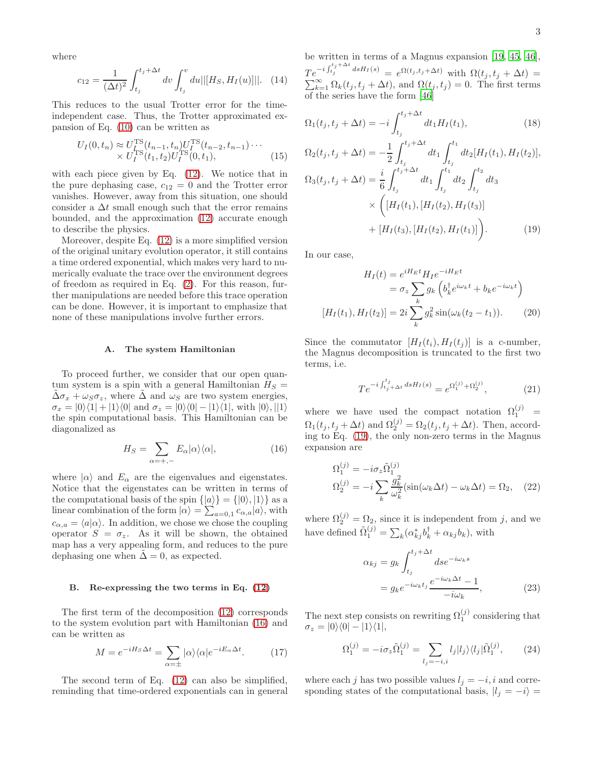where

<span id="page-2-4"></span>
$$
c_{12} = \frac{1}{(\Delta t)^2} \int_{t_j}^{t_j + \Delta t} dv \int_{t_j}^v du ||[H_S, H_I(u)]||. \quad (14)
$$

This reduces to the usual Trotter error for the timeindependent case. Thus, the Trotter approximated expansion of Eq. [\(10\)](#page-1-2) can be written as

$$
U_I(0, t_n) \approx U_I^{\text{TS}}(t_{n-1}, t_n) U_I^{\text{TS}}(t_{n-2}, t_{n-1}) \cdots \times U_I^{\text{TS}}(t_1, t_2) U_I^{\text{TS}}(0, t_1),
$$
\n(15)

with each piece given by Eq. [\(12\)](#page-1-3). We notice that in the pure dephasing case,  $c_{12} = 0$  and the Trotter error vanishes. However, away from this situation, one should consider a  $\Delta t$  small enough such that the error remains bounded, and the approximation [\(12\)](#page-1-3) accurate enough to describe the physics.

Moreover, despite Eq. [\(12\)](#page-1-3) is a more simplified version of the original unitary evolution operator, it still contains a time ordered exponential, which makes very hard to numerically evaluate the trace over the environment degrees of freedom as required in Eq. [\(2\)](#page-1-0). For this reason, further manipulations are needed before this trace operation can be done. However, it is important to emphasize that none of these manipulations involve further errors.

### A. The system Hamiltonian

To proceed further, we consider that our open quantum system is a spin with a general Hamiltonian  $H_S =$  $\Delta \sigma_x + \omega_S \sigma_z$ , where  $\Delta$  and  $\omega_S$  are two system energies,  $\sigma_x = |0\rangle\langle 1| + |1\rangle\langle 0|$  and  $\sigma_z = |0\rangle\langle 0| - |1\rangle\langle 1|$ , with  $|0\rangle, ||1\rangle$ the spin computational basis. This Hamiltonian can be diagonalized as

<span id="page-2-0"></span>
$$
H_S = \sum_{\alpha = +,-} E_{\alpha} |\alpha\rangle\langle\alpha|,\tag{16}
$$

where  $|\alpha\rangle$  and  $E_{\alpha}$  are the eigenvalues and eigenstates. Notice that the eigenstates can be written in terms of the computational basis of the spin  $\{|a\rangle\} = \{|0\rangle, |1\rangle\}$  as a linear combination of the form  $|\alpha\rangle = \sum_{a=0,1} c_{\alpha,a} |a\rangle$ , with  $c_{\alpha,a} = \langle a | \alpha \rangle$ . In addition, we chose we chose the coupling operator  $S = \sigma_z$ . As it will be shown, the obtained map has a very appealing form, and reduces to the pure dephasing one when  $\tilde{\Delta} = 0$ , as expected.

### B. Re-expressing the two terms in Eq. [\(12\)](#page-1-3)

The first term of the decomposition [\(12\)](#page-1-3) corresponds to the system evolution part with Hamiltonian [\(16\)](#page-2-0) and can be written as

<span id="page-2-2"></span>
$$
M = e^{-iH_S\Delta t} = \sum_{\alpha = \pm} |\alpha\rangle\langle\alpha|e^{-iE_{\alpha}\Delta t}.\tag{17}
$$

The second term of Eq. [\(12\)](#page-1-3) can also be simplified, reminding that time-ordered exponentials can in general be written in terms of a Magnus expansion [\[19,](#page-8-14) [45](#page-9-1), [46\]](#page-9-2),  $Te^{-i\int_{t_j}^{t_j+\Delta t} ds H_I(s)} = e^{\Omega(t_j,t_j+\Delta t)}$  $\sum$  $\mathcal{Q}^{(t)}(t_j, t_j + \Delta t) = e^{\Omega(t_j, t_j + \Delta t)}$  with  $\Omega(t_j, t_j + \Delta t) = \sum_{k=1}^{\infty} \Omega_k(t_j, t_j + \Delta t)$ , and  $\Omega(t_j, t_j) = 0$ . The first terms of the series have the form [\[46\]](#page-9-2)

<span id="page-2-1"></span>
$$
\Omega_1(t_j, t_j + \Delta t) = -i \int_{t_j}^{t_j + \Delta t} dt_1 H_I(t_1),
$$
\n(18)

$$
\Omega_2(t_j, t_j + \Delta t) = -\frac{1}{2} \int_{t_j}^{t_j + \Delta t} dt_1 \int_{t_j}^{t_1} dt_2 [H_I(t_1), H_I(t_2)],
$$
  
\n
$$
\Omega_3(t_j, t_j + \Delta t) = \frac{i}{6} \int_{t_j}^{t_j + \Delta t} dt_1 \int_{t_j}^{t_1} dt_2 \int_{t_j}^{t_2} dt_3
$$
  
\n
$$
\times \left( [H_I(t_1), [H_I(t_2), H_I(t_3)] + [H_I(t_3), [H_I(t_2), H_I(t_1)] \right).
$$
\n(19)

In our case,

$$
H_I(t) = e^{iH_E t} H_I e^{-iH_E t}
$$

$$
= \sigma_z \sum_k g_k \left( b_k^\dagger e^{i\omega_k t} + b_k e^{-i\omega_k t} \right)
$$

$$
[H_I(t_1), H_I(t_2)] = 2i \sum_k g_k^2 \sin(\omega_k (t_2 - t_1)). \tag{20}
$$

Since the commutator  $[H_I(t_i), H_I(t_i)]$  is a c-number, the Magnus decomposition is truncated to the first two terms, i.e.

$$
Te^{-i\int_{t_j+\Delta t}^{t_j} ds H_I(s)} = e^{\Omega_1^{(j)} + \Omega_2^{(j)}},\tag{21}
$$

where we have used the compact notation  $\Omega_1^{(j)}$  =  $\Omega_1(t_j, t_j + \Delta t)$  and  $\Omega_2^{(j)} = \Omega_2(t_j, t_j + \Delta t)$ . Then, according to Eq. [\(19\)](#page-2-1), the only non-zero terms in the Magnus expansion are

$$
\Omega_1^{(j)} = -i\sigma_z \tilde{\Omega}_1^{(j)}
$$
  
\n
$$
\Omega_2^{(j)} = -i \sum_k \frac{g_k^2}{\omega_k^2} (\sin(\omega_k \Delta t) - \omega_k \Delta t) = \Omega_2, \quad (22)
$$

where  $\Omega_2^{(j)} = \Omega_2$ , since it is independent from j, and we have defined  $\tilde{\Omega}_1^{(j)} = \sum_k (\alpha_{kj}^* b_k^{\dagger} + \alpha_{kj} b_k)$ , with

<span id="page-2-3"></span>
$$
\alpha_{kj} = g_k \int_{t_j}^{t_j + \Delta t} ds e^{-i\omega_k s}
$$
  
=  $g_k e^{-i\omega_k t_j} \frac{e^{-i\omega_k \Delta t} - 1}{-i\omega_k}$ , (23)

The next step consists on rewriting  $\Omega_1^{(j)}$  considering that  $\sigma_z = |0\rangle\langle 0| - |1\rangle\langle 1|,$ 

$$
\Omega_1^{(j)} = -i\sigma_z \tilde{\Omega}_1^{(j)} = \sum_{l_j = -i,i} l_j |l_j\rangle\langle l_j| \tilde{\Omega}_1^{(j)},\tag{24}
$$

where each j has two possible values  $l_j = -i$ , i and corresponding states of the computational basis,  $|l_j = -i\rangle$  =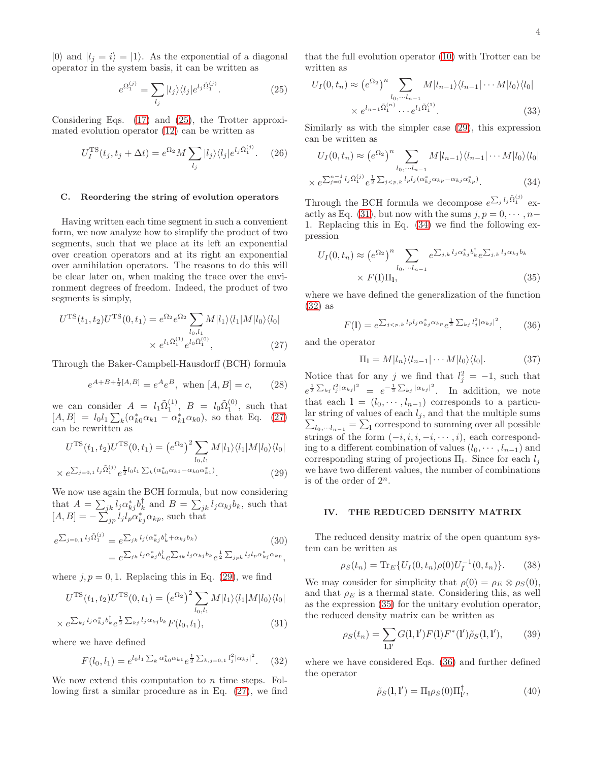$|0\rangle$  and  $|l_j = i\rangle = |1\rangle$ . As the exponential of a diagonal operator in the system basis, it can be written as

<span id="page-3-0"></span>
$$
e^{\Omega_1^{(j)}} = \sum_{l_j} |l_j\rangle\langle l_j| e^{l_j \tilde{\Omega}_1^{(j)}}.
$$
\n(25)

Considering Eqs. [\(17\)](#page-2-2) and [\(25\)](#page-3-0), the Trotter approximated evolution operator [\(12\)](#page-1-3) can be written as

$$
U_I^{\rm TS}(t_j, t_j + \Delta t) = e^{\Omega_2} M \sum_{l_j} |l_j\rangle\langle l_j| e^{l_j \tilde{\Omega}_1^{(j)}}. \quad (26)
$$

### <span id="page-3-8"></span>C. Reordering the string of evolution operators

Having written each time segment in such a convenient form, we now analyze how to simplify the product of two segments, such that we place at its left an exponential over creation operators and at its right an exponential over annihilation operators. The reasons to do this will be clear later on, when making the trace over the environment degrees of freedom. Indeed, the product of two segments is simply,

<span id="page-3-1"></span>
$$
U^{\rm TS}(t_1, t_2)U^{\rm TS}(0, t_1) = e^{\Omega_2} e^{\Omega_2} \sum_{l_0, l_1} M|l_1\rangle \langle l_1|M|l_0\rangle \langle l_0|
$$
  
 
$$
\times e^{l_1 \tilde{\Omega}_1^{(1)}} e^{l_0 \tilde{\Omega}_1^{(0)}}, \qquad (27)
$$

Through the Baker-Campbell-Hausdorff (BCH) formula

<span id="page-3-12"></span>
$$
e^{A+B+\frac{1}{2}[A,B]} = e^A e^B
$$
, when  $[A, B] = c$ , (28)

we can consider  $A = l_1 \tilde{\Omega}_1^{(1)}$ ,  $B = l_0 \tilde{\Omega}_1^{(0)}$ , such that  $[A, B] = l_0 l_1 \sum_k (\alpha_{k0}^* \alpha_{k1} - \alpha_{k1}^* \alpha_{k0}),$  so that Eq. [\(27\)](#page-3-1) can be rewritten as

<span id="page-3-2"></span>
$$
U^{\rm TS}(t_1, t_2)U^{\rm TS}(0, t_1) = (e^{\Omega_2})^2 \sum_{l_0, l_1} M|l_1\rangle\langle l_1|M|l_0\rangle\langle l_0|
$$

$$
\times e^{\sum_{j=0,1} l_j \tilde{\Omega}_1^{(j)}} e^{\frac{1}{2} l_0 l_1 \sum_k (\alpha_{k0}^* \alpha_{k1} - \alpha_{k0} \alpha_{k1}^*)}.
$$
 (29)

We now use again the BCH formula, but now considering that  $A = \sum_{jk} l_j \alpha_{kj}^* b_k^{\dagger}$  and  $B = \sum_{jk} l_j \alpha_{kj} b_k$ , such that  $[A, B] = -\sum_{jp}^{s} l_j l_p \alpha_{kj}^* \alpha_{kp}$ , such that

<span id="page-3-3"></span>
$$
e^{\sum_{j=0,1} l_j \tilde{\Omega}_1^{(j)}} = e^{\sum_{jk} l_j (\alpha_{kj}^* b_k^{\dagger} + \alpha_{kj} b_k)}
$$
(30)  

$$
= e^{\sum_{jk} l_j \alpha_{kj}^* b_k^{\dagger}} e^{\sum_{jk} l_j \alpha_{kj} b_k} e^{\frac{1}{2} \sum_{jpk} l_j l_p \alpha_{kj}^* \alpha_{kp}},
$$

where  $j, p = 0, 1$ . Replacing this in Eq. [\(29\)](#page-3-2), we find

$$
U^{TS}(t_1, t_2)U^{TS}(0, t_1) = (e^{\Omega_2})^2 \sum_{l_0, l_1} M|l_1\rangle\langle l_1|M|l_0\rangle\langle l_0|
$$
  

$$
\sum_{l_1, l_2} \sum_{l_1, l_2 \in \mathcal{D}} \sum_{l_1, l_2 \in \mathcal{D}} \sum_{l_2, l_3 \in \mathcal{D}} M|l_1\rangle\langle l_1|M|l_0\rangle\langle l_0|
$$

$$
\times e^{\sum_{kj} l_j \alpha_{kj}^* b_k^{\dagger} e^{\frac{1}{2}\sum_{kj} l_j \alpha_{kj} b_k} F(l_0, l_1)}, \tag{31}
$$

where we have defined

<span id="page-3-5"></span>
$$
F(l_0, l_1) = e^{l_0 l_1 \sum_k \alpha_{k0}^* \alpha_{k1}} e^{\frac{1}{2} \sum_{k,j=0,1} \binom{2}{j} \alpha_{kj}^2}
$$
 (32)

We now extend this computation to *n* time steps. Following first a similar procedure as in Eq. [\(27\)](#page-3-1), we find that the full evolution operator [\(10\)](#page-1-2) with Trotter can be written as

$$
U_I(0, t_n) \approx (e^{\Omega_2})^n \sum_{l_0, \dots l_{n-1}} M |l_{n-1}\rangle \langle l_{n-1}| \dots M |l_0\rangle \langle l_0|
$$
  
 
$$
\times e^{l_{n-1}\tilde{\Omega}_1^{(n)}} \dots e^{l_1 \tilde{\Omega}_1^{(1)}}.
$$
 (33)

Similarly as with the simpler case [\(29\)](#page-3-2), this expression can be written as

<span id="page-3-4"></span>
$$
U_I(0, t_n) \approx (e^{\Omega_2})^n \sum_{l_0, \dots, l_{n-1}} M|l_{n-1}\rangle \langle l_{n-1}| \dots M|l_0\rangle \langle l_0|
$$
  
 
$$
\times e^{\sum_{j=0}^{n-1} l_j \tilde{\Omega}_1^{(j)}} e^{\frac{1}{2} \sum_{j < p, k} l_p l_j (\alpha_{kj}^* \alpha_{kp} - \alpha_{kj} \alpha_{kp}^*)}.
$$
 (34)

Through the BCH formula we decompose  $e^{\sum_j l_j \tilde{\Omega}_1^{(j)}}$  ex-actly as Eq. [\(31\)](#page-3-3), but now with the sums  $j, p = 0, \dots, n-$ 1. Replacing this in Eq. [\(34\)](#page-3-4) we find the following expression

<span id="page-3-6"></span>
$$
U_I(0, t_n) \approx (e^{\Omega_2})^n \sum_{l_0, \cdots l_{n-1}} e^{\sum_{j,k} l_j \alpha_{kj}^* b_k^{\dagger}} e^{\sum_{j,k} l_j \alpha_{kj} b_k}
$$
  
×  $F(1)\Pi_1,$  (35)

where we have defined the generalization of the function [\(32\)](#page-3-5) as

<span id="page-3-7"></span>
$$
F(1) = e^{\sum_{j < p,k} l_p l_j \alpha_{kj}^* \alpha_{kp}} e^{\frac{1}{2} \sum_{kj} l_j^2 |\alpha_{kj}|^2},\tag{36}
$$

and the operator

<span id="page-3-11"></span>
$$
\Pi_1 = M|l_n\rangle\langle l_{n-1}|\cdots M|l_0\rangle\langle l_0|.\tag{37}
$$

Notice that for any j we find that  $l_j^2 = -1$ , such that  $e^{\frac{1}{2}\sum_{kj}l_j^2|\alpha_{kj}|^2} = e^{-\frac{1}{2}\sum_{kj}|\alpha_{kj}|^2}$ . In addition, we note that each  $l = (l_0, \dots, l_{n-1})$  corresponds to a particular string of values of each  $l_j$ , and that the multiple sums  $\sum_{l_0,\dotsm l_{n-1}}$  =  $\sum_{l}$  correspond to summing over all possible strings of the form  $(-i, i, i, -i, \dots, i)$ , each corresponding to a different combination of values  $(l_0, \dots, l_{n-1})$  and corresponding string of projections  $\Pi$ <sub>1</sub>. Since for each  $l_j$ we have two different values, the number of combinations is of the order of  $2^n$ .

### IV. THE REDUCED DENSITY MATRIX

The reduced density matrix of the open quantum system can be written as

$$
\rho_S(t_n) = \text{Tr}_E\{U_I(0, t_n)\rho(0)U_I^{-1}(0, t_n)\}.
$$
 (38)

We may consider for simplicity that  $\rho(0) = \rho_E \otimes \rho_S(0)$ , and that  $\rho_E$  is a thermal state. Considering this, as well as the expression [\(35\)](#page-3-6) for the unitary evolution operator, the reduced density matrix can be written as

<span id="page-3-10"></span>
$$
\rho_S(t_n) = \sum_{\mathbf{l}, \mathbf{l}'} G(\mathbf{l}, \mathbf{l}') F(\mathbf{l}) F^*(\mathbf{l}') \tilde{\rho}_S(\mathbf{l}, \mathbf{l}'), \qquad (39)
$$

where we have considered Eqs. [\(36\)](#page-3-7) and further defined the operator

<span id="page-3-9"></span>
$$
\tilde{\rho}_S(\mathbf{l}, \mathbf{l}') = \Pi_{\mathbf{l}} \rho_S(0) \Pi_{\mathbf{l}'}^{\dagger},\tag{40}
$$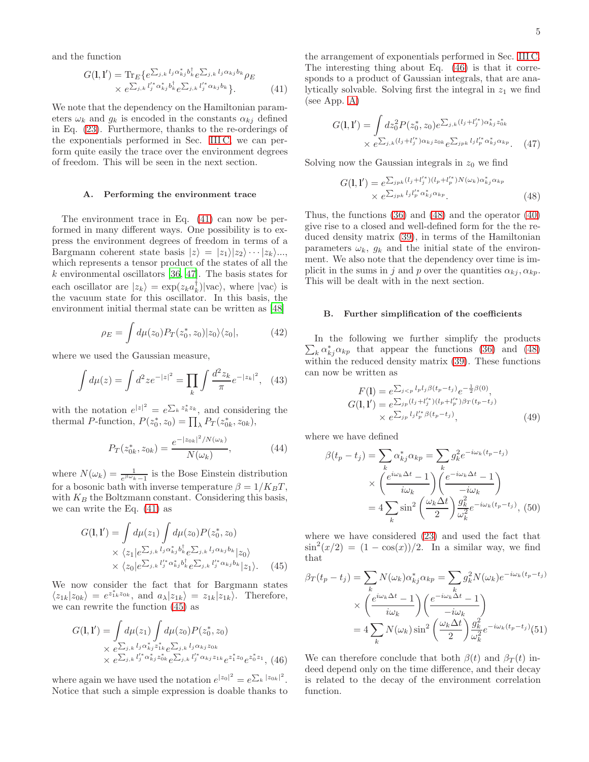and the function

<span id="page-4-0"></span>
$$
G(\mathbf{l}, \mathbf{l}') = \text{Tr}_{E} \{ e^{\sum_{j,k} l_j \alpha_{kj}^{*} b_{k}^{\dagger}} e^{\sum_{j,k} l_j \alpha_{kj} b_k} \rho_E
$$
  
 
$$
\times e^{\sum_{j,k} l_j^{*} \alpha_{kj}^{*} b_{k}^{\dagger}} e^{\sum_{j,k} l_j^{*} \alpha_{kj} b_k} \}.
$$
 (41)

We note that the dependency on the Hamiltonian parameters  $\omega_k$  and  $q_k$  is encoded in the constants  $\alpha_{ki}$  defined in Eq. [\(23\)](#page-2-3). Furthermore, thanks to the re-orderings of the exponentials performed in Sec. [III C,](#page-3-8) we can perform quite easily the trace over the environment degrees of freedom. This will be seen in the next section.

### A. Performing the environment trace

The environment trace in Eq. [\(41\)](#page-4-0) can now be performed in many different ways. One possibility is to express the environment degrees of freedom in terms of a Bargmann coherent state basis  $|z\rangle = |z_1\rangle |z_2\rangle \cdots |z_k\rangle ...$ which represents a tensor product of the states of all the  $k$  environmental oscillators [\[36,](#page-8-28) [47\]](#page-9-3). The basis states for each oscillator are  $|z_k\rangle = \exp(z_k a_k^{\dagger}) |\text{vac}\rangle$ , where  $|\text{vac}\rangle$  is the vacuum state for this oscillator. In this basis, the environment initial thermal state can be written as [\[48](#page-9-4)]

$$
\rho_E = \int d\mu(z_0) P_T(z_0^*, z_0) |z_0\rangle\langle z_0|,\tag{42}
$$

where we used the Gaussian measure,

$$
\int d\mu(z) = \int d^2 z e^{-|z|^2} = \prod_k \int \frac{d^2 z_k}{\pi} e^{-|z_k|^2}, \quad (43)
$$

with the notation  $e^{|z|^2} = e^{\sum_k z_k^* z_k}$ , and considering the thermal P-function,  $P(z_0^*, z_0) = \prod_{\lambda} P_T(z_{0k}^*, z_{0k}),$ 

$$
P_T(z_{0k}^*, z_{0k}) = \frac{e^{-|z_{0k}|^2/N(\omega_k)}}{N(\omega_k)},
$$
\n(44)

where  $N(\omega_k) = \frac{1}{e^{\beta \omega_k} - 1}$  is the Bose Einstein distribution for a bosonic bath with inverse temperature  $\beta = 1/K_B T$ , with  $K_B$  the Boltzmann constant. Considering this basis, we can write the Eq. [\(41\)](#page-4-0) as

<span id="page-4-1"></span>
$$
G(\mathbf{l}, \mathbf{l}') = \int d\mu(z_1) \int d\mu(z_0) P(z_0^*, z_0)
$$
  
 
$$
\times \langle z_1 | e^{\sum_{j,k} l_j \alpha_{kj}^* b_k^{\dagger}} e^{\sum_{j,k} l_j \alpha_{kj} b_k} |z_0 \rangle
$$
  
 
$$
\times \langle z_0 | e^{\sum_{j,k} l_j^* \alpha_{kj}^* b_k^{\dagger}} e^{\sum_{j,k} l_j^* \alpha_{kj} b_k} |z_1 \rangle.
$$
 (45)

We now consider the fact that for Bargmann states  $\langle z_{1k}|z_{0k}\rangle = e^{z_{1k}^*z_{0k}}, \text{ and } a_{\lambda}|z_{1k}\rangle = z_{1k}|z_{1k}\rangle.$  Therefore, we can rewrite the function [\(45\)](#page-4-1) as

<span id="page-4-2"></span>
$$
G(1,1') = \int d\mu(z_1) \int d\mu(z_0) P(z_0^*, z_0)
$$
  
×  $e^{\sum_{j,k} l_j \alpha_{kj}^* z_{1k}} e^{\sum_{j,k} l_j \alpha_{kj} z_{0k}}$   
×  $e^{\sum_{j,k} l_j'^* \alpha_{kj}^* z_{0k}} e^{\sum_{j,k} l_j'^* \alpha_{kj} z_{1k}} e^{z_1^* z_0} e^{z_0^* z_1},$  (46)

where again we have used the notation  $e^{|z_0|^2} = e^{\sum_k |z_{0k}|^2}$ . Notice that such a simple expression is doable thanks to

the arrangement of exponentials performed in Sec. [III C.](#page-3-8) The interesting thing about Eq. [\(46\)](#page-4-2) is that it corresponds to a product of Gaussian integrals, that are analytically solvable. Solving first the integral in  $z_1$  we find (see App. [A\)](#page-8-35)

$$
G(\mathbf{l}, \mathbf{l}') = \int dz_0^2 P(z_0^*, z_0) e^{\sum_{j,k} (l_j + l_j'^*) \alpha_{kj}^* z_{0k}^*}
$$
  
 
$$
\times e^{\sum_{j,k} (l_j + l_j'^*) \alpha_{kj} z_{0k}} e^{\sum_{jpk} l_j l_p'^* \alpha_{kj}^* \alpha_{kp}}.
$$
 (47)

Solving now the Gaussian integrals in  $z_0$  we find

<span id="page-4-3"></span>
$$
G(\mathbf{l}, \mathbf{l}') = e^{\sum_{jpk} (l_j + l_j'^*) (l_p + l_p'^*) N(\omega_k) \alpha_{kj}^* \alpha_{kp}} \times e^{\sum_{jpk} l_j l_p'^* \alpha_{kj}^* \alpha_{kp}}.
$$
\n(48)

Thus, the functions [\(36\)](#page-3-7) and [\(48\)](#page-4-3) and the operator [\(40\)](#page-3-9) give rise to a closed and well-defined form for the the reduced density matrix [\(39\)](#page-3-10), in terms of the Hamiltonian parameters  $\omega_k$ ,  $g_k$  and the initial state of the environment. We also note that the dependency over time is implicit in the sums in j and p over the quantities  $\alpha_{ki}, \alpha_{kp}$ . This will be dealt with in the next section.

#### B. Further simplification of the coefficients

 $\sum_{k} \alpha_{kj}^{*} \alpha_{kp}$  that appear the functions [\(36\)](#page-3-7) and [\(48\)](#page-4-3) In the following we further simplify the products within the reduced density matrix [\(39\)](#page-3-10). These functions can now be written as

<span id="page-4-4"></span>
$$
F(1) = e^{\sum_{j < p} l_p l_j \beta(t_p - t_j)} e^{-\frac{1}{2}\beta(0)},
$$
\n
$$
G(1, 1') = e^{\sum_{jp} (l_j + l_j'') (l_p + l_p'^*) \beta_T (t_p - t_j)} \times e^{\sum_{jp} l_j l_p'^* \beta(t_p - t_j)},
$$
\n
$$
(49)
$$

where we have defined

$$
\beta(t_p - t_j) = \sum_k \alpha_{kj}^* \alpha_{kp} = \sum_k g_k^2 e^{-i\omega_k (t_p - t_j)}
$$

$$
\times \left(\frac{e^{i\omega_k \Delta t} - 1}{i\omega_k}\right) \left(\frac{e^{-i\omega_k \Delta t} - 1}{-i\omega_k}\right)
$$

$$
= 4 \sum_k \sin^2 \left(\frac{\omega_k \Delta t}{2}\right) \frac{g_k^2}{\omega_k^2} e^{-i\omega_k (t_p - t_j)}, \quad (50)
$$

where we have considered [\(23\)](#page-2-3) and used the fact that  $\sin^2(x/2) = (1 - \cos(x))/2$ . In a similar way, we find that

$$
\beta_T(t_p - t_j) = \sum_k N(\omega_k) \alpha_{kj}^* \alpha_{kp} = \sum_k g_k^2 N(\omega_k) e^{-i\omega_k (t_p - t_j)}
$$

$$
\times \left(\frac{e^{i\omega_k \Delta t} - 1}{i\omega_k}\right) \left(\frac{e^{-i\omega_k \Delta t} - 1}{-i\omega_k}\right)
$$

$$
= 4 \sum_k N(\omega_k) \sin^2\left(\frac{\omega_k \Delta t}{2}\right) \frac{g_k^2}{\omega_k^2} e^{-i\omega_k (t_p - t_j)} (51)
$$

We can therefore conclude that both  $\beta(t)$  and  $\beta(\tau)$  indeed depend only on the time difference, and their decay is related to the decay of the environment correlation function.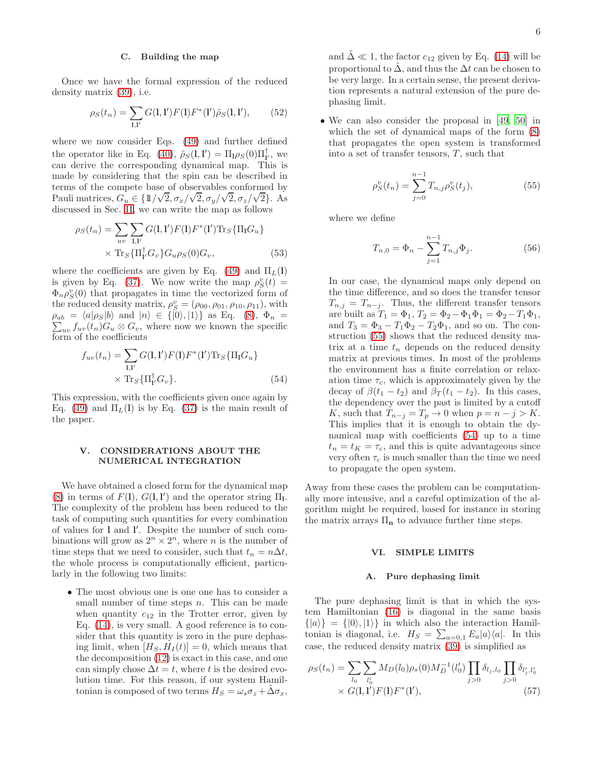# C. Building the map

Once we have the formal expression of the reduced density matrix [\(39\)](#page-3-10), i.e.

$$
\rho_S(t_n) = \sum_{\mathbf{l}, \mathbf{l}'} G(\mathbf{l}, \mathbf{l}') F(\mathbf{l}) F^*(\mathbf{l}') \tilde{\rho}_S(\mathbf{l}, \mathbf{l}'), \qquad (52)
$$

where we now consider Eqs. [\(49\)](#page-4-4) and further defined the operator like in Eq. [\(40\)](#page-3-9),  $\tilde{\rho}_S(1,1') = \Pi_1 \rho_S(0) \Pi_{1'}^{\dagger}$ , we can derive the corresponding dynamical map. This is made by considering that the spin can be described in terms of the compete base of observables conformed by Pauli matrices,  $G_u \in \left\{1/\sqrt{2}, \sigma_x/\sqrt{2}, \sigma_y/\sqrt{2}, \sigma_z/\sqrt{2}\right\}$ . As discussed in Sec. [II,](#page-1-4) we can write the map as follows

$$
\rho_S(t_n) = \sum_{uv} \sum_{\mathbf{l}, \mathbf{l}'} G(\mathbf{l}, \mathbf{l}') F(\mathbf{l}) F^*(\mathbf{l}') \text{Tr}_S \{ \Pi_{\mathbf{l}} G_u \} \times \text{Tr}_S \{ \Pi_{\mathbf{l}'}^{\dagger} G_v \} G_u \rho_S(0) G_v,
$$
\n(53)

where the coefficients are given by Eq. [\(49\)](#page-4-4) and  $\Pi_L(1)$ is given by Eq. [\(37\)](#page-3-11). We now write the map  $\rho_S^v(t) =$  $\Phi_n \rho_S^v(0)$  that propagates in time the vectorized form of the reduced density matrix,  $\rho_S^v = (\rho_{00}, \rho_{01}, \rho_{10}, \rho_{11}),$  with  $\rho_{ab} = \langle a|\rho_S|b\rangle$  and  $|n\rangle \in \{|0\rangle, |1\rangle\}$  as Eq. [\(8\)](#page-1-5),  $\Phi_n =$  $\sum_{uv} f_{uv}(t_n) G_u \otimes G_v$ , where now we known the specific form of the coefficients

<span id="page-5-1"></span>
$$
f_{uv}(t_n) = \sum_{\mathbf{l}, \mathbf{l}'} G(\mathbf{l}, \mathbf{l}') F(\mathbf{l}) F^*(\mathbf{l}') \text{Tr}_S \{ \Pi_{\mathbf{l}} G_u \}
$$

$$
\times \text{Tr}_S \{ \Pi_{\mathbf{l}'}^{\dagger} G_v \}. \tag{54}
$$

This expression, with the coefficients given once again by Eq. [\(49\)](#page-4-4) and  $\Pi_L(1)$  is by Eq. [\(37\)](#page-3-11) is the main result of the paper.

# V. CONSIDERATIONS ABOUT THE NUMERICAL INTEGRATION

We have obtained a closed form for the dynamical map [\(8\)](#page-1-5) in terms of  $F(1)$ ,  $G(1,1')$  and the operator string  $\Pi_1$ . The complexity of the problem has been reduced to the task of computing such quantities for every combination of values for 1 and l'. Despite the number of such combinations will grow as  $2^n \times 2^n$ , where *n* is the number of time steps that we need to consider, such that  $t_n = n\Delta t$ , the whole process is computationally efficient, particularly in the following two limits:

• The most obvious one is one one has to consider a small number of time steps  $n$ . This can be made when quantity  $c_{12}$  in the Trotter error, given by Eq. [\(14\)](#page-2-4), is very small. A good reference is to consider that this quantity is zero in the pure dephasing limit, when  $[H_S, H_I(t)] = 0$ , which means that the decomposition [\(12\)](#page-1-3) is exact in this case, and one can simply chose  $\Delta t = t$ , where t is the desired evolution time. For this reason, if our system Hamiltonian is composed of two terms  $H_S = \omega_s \sigma_z + \Delta \sigma_x$ ,

and  $\Delta \ll 1$ , the factor  $c_{12}$  given by Eq. [\(14\)](#page-2-4) will be proportional to  $\Delta$ , and thus the  $\Delta t$  can be chosen to be very large. In a certain sense, the present derivation represents a natural extension of the pure dephasing limit.

• We can also consider the proposal in [\[49,](#page-9-5) [50](#page-9-6)] in which the set of dynamical maps of the form [\(8\)](#page-1-5) that propagates the open system is transformed into a set of transfer tensors,  $T$ , such that

<span id="page-5-0"></span>
$$
\rho_S^v(t_n) = \sum_{j=0}^{n-1} T_{n,j} \rho_S^v(t_j),\tag{55}
$$

where we define

$$
T_{n,0} = \Phi_n - \sum_{j=1}^{n-1} T_{n,j} \Phi_j.
$$
 (56)

In our case, the dynamical maps only depend on the time difference, and so does the transfer tensor  $T_{n,j} = T_{n-j}$ . Thus, the different transfer tensors are built as  $T_1 = \Phi_1$ ,  $T_2 = \Phi_2 - \Phi_1 \Phi_1 = \Phi_2 - T_1 \Phi_1$ , and  $T_3 = \Phi_3 - T_1 \Phi_2 - T_2 \Phi_1$ , and so on. The construction [\(55\)](#page-5-0) shows that the reduced density matrix at a time  $t_n$  depends on the reduced density matrix at previous times. In most of the problems the environment has a finite correlation or relaxation time  $\tau_c$ , which is approximately given by the decay of  $\beta(t_1 - t_2)$  and  $\beta_T(t_1 - t_2)$ . In this cases, the dependency over the past is limited by a cutoff K, such that  $T_{n-j} = T_p \to 0$  when  $p = n - j > K$ . This implies that it is enough to obtain the dynamical map with coefficients [\(54\)](#page-5-1) up to a time  $t_n = t_K = \tau_c$ , and this is quite advantageous since very often  $\tau_c$  is much smaller than the time we need to propagate the open system.

Away from these cases the problem can be computationally more intensive, and a careful optimization of the algorithm might be required, based for instance in storing the matrix arrays  $\Pi_n$  to advance further time steps.

# VI. SIMPLE LIMITS

## A. Pure dephasing limit

The pure dephasing limit is that in which the system Hamiltonian [\(16\)](#page-2-0) is diagonal in the same basis  $\{|a\rangle\} = \{|0\rangle, |1\rangle\}$  in which also the interaction Hamiltonian is diagonal, i.e.  $H_S = \sum_{a=0,1} E_a |a\rangle\langle a|$ . In this case, the reduced density matrix [\(39\)](#page-3-10) is simplified as

$$
\rho_S(t_n) = \sum_{l_0} \sum_{l'_0} M_D(l_0) \rho_s(0) M_D^{-1}(l'_0) \prod_{j>0} \delta_{l_j, l_0} \prod_{j>0} \delta_{l'_j, l'_0}
$$
  
×  $G(1, 1')F(1)F^*(1')$ , (57)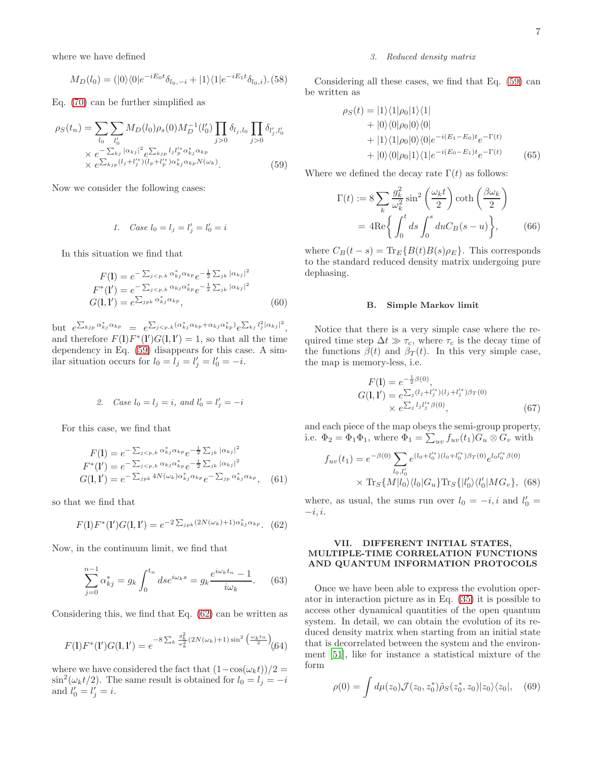where we have defined

$$
M_D(l_0) = (|0\rangle\langle 0|e^{-iE_0t}\delta_{l_0,-i} + |1\rangle\langle 1|e^{-iE_1t}\delta_{l_0,i}).
$$
 (58)

Eq. [\(70\)](#page-7-0) can be further simplified as

<span id="page-6-0"></span>
$$
\rho_S(t_n) = \sum_{l_0} \sum_{l'_0} M_D(l_0) \rho_s(0) M_D^{-1}(l'_0) \prod_{j>0} \delta_{l_j, l_0} \prod_{j>0} \delta_{l'_j, l'_0}
$$
  
 
$$
\times e^{-\sum_{kj} |\alpha_{kj}|^2} e^{\sum_{kjp} l_j l'^*_{p} \alpha^*_{kj} \alpha_{kp}}
$$
  
 
$$
\times e^{\sum_{kjp} (l_j + l'^*_{j}) (l_p + l'^*_{p}) \alpha^*_{kj} \alpha_{kp} N(\omega_k)}.
$$
 (59)

Now we consider the following cases:

1. Case 
$$
l_0 = l_j = l'_j = l'_0 = i
$$

In this situation we find that

$$
F(1) = e^{-\sum_{j < p,k} \alpha_{kj}^* \alpha_{kp}} e^{-\frac{1}{2} \sum_{jk} |\alpha_{kj}|^2}
$$
\n
$$
F^*(1') = e^{-\sum_{j < p,k} \alpha_{kj} \alpha_{kp}^*} e^{-\frac{1}{2} \sum_{jk} |\alpha_{kj}|^2}
$$
\n
$$
G(1,1') = e^{\sum_{j} p_k \alpha_{kj}^* \alpha_{kp}},
$$
\n
$$
(60)
$$

but  $e^{\sum_{kjp} \alpha_{kj}^* \alpha_{kp}} = e^{\sum_{j < p,k} (\alpha_{kj}^* \alpha_{kp} + \alpha_{kj} \alpha_{kp}^*)} e^{\sum_{kj} l_j^2 |\alpha_{kj}|^2},$ and therefore  $F(1)F^*(1')G(1,1') = 1$ , so that all the time dependency in Eq. [\(59\)](#page-6-0) disappears for this case. A similar situation occurs for  $l_0 = l_j = l'_j = l'_0 = -i$ .

2. Case 
$$
l_0 = l_j = i
$$
, and  $l'_0 = l'_j = -i$ 

For this case, we find that

$$
F(1) = e^{-\sum_{j < p,k} \alpha_{kj}^* \alpha_{kp}} e^{-\frac{1}{2} \sum_{jk} |\alpha_{kj}|^2}
$$
\n
$$
F^*(1') = e^{-\sum_{j < p,k} \alpha_{kj} \alpha_{kp}^*} e^{-\frac{1}{2} \sum_{jk} |\alpha_{kj}|^2}
$$
\n
$$
G(1,1') = e^{-\sum_{jpk} 4N(\omega_k) \alpha_{kj}^* \alpha_{kp}} e^{-\sum_{jp} \alpha_{kj}^* \alpha_{kp}}, \quad (61)
$$

so that we find that

<span id="page-6-1"></span>
$$
F(1)F^*(1')G(1,1') = e^{-2\sum_{jpk}(2N(\omega_k)+1)\alpha_{kj}^*\alpha_{kp}}.
$$
 (62)

Now, in the continuum limit, we find that

$$
\sum_{j=0}^{n-1} \alpha_{kj}^* = g_k \int_0^{t_n} ds e^{i\omega_k s} = g_k \frac{e^{i\omega_k t_n} - 1}{i\omega_k}.
$$
 (63)

Considering this, we find that Eq. [\(62\)](#page-6-1) can be written as

$$
F(1)F^{*}(1')G(1,1') = e^{-8\sum_{k}\frac{g_{k}^{2}}{\omega_{k}^{2}}(2N(\omega_{k})+1)\sin^{2}\left(\frac{\omega_{k}t_{n}}{2}\right)}(64)
$$

where we have considered the fact that  $(1-\cos(\omega_k t))/2 =$  $\sin^2(\omega_k t/2)$ . The same result is obtained for  $l_0 = l_j = -i$ and  $l'_0 = l'_j = i$ .

## 3. Reduced density matrix

Considering all these cases, we find that Eq. [\(59\)](#page-6-0) can be written as

$$
\rho_S(t) = |1\rangle\langle 1|\rho_0|1\rangle\langle 1| + |0\rangle\langle 0|\rho_0|0\rangle\langle 0| + |1\rangle\langle 1|\rho_0|0\rangle\langle 0|e^{-i(E_1 - E_0)t}e^{-\Gamma(t)} + |0\rangle\langle 0|\rho_0|1\rangle\langle 1|e^{-i(E_0 - E_1)t}e^{-\Gamma(t)}
$$
(65)

Where we defined the decay rate  $\Gamma(t)$  as follows:

$$
\Gamma(t) := 8 \sum_{k} \frac{g_k^2}{\omega_k^2} \sin^2 \left(\frac{\omega_k t}{2}\right) \coth \left(\frac{\beta \omega_k}{2}\right)
$$

$$
= 4 \text{Re} \left\{ \int_0^t ds \int_0^s du C_B(s - u) \right\}, \qquad (66)
$$

where  $C_B(t-s) = \text{Tr}_E\{B(t)B(s)\rho_E\}$ . This corresponds to the standard reduced density matrix undergoing pure dephasing.

### B. Simple Markov limit

Notice that there is a very simple case where the required time step  $\Delta t \gg \tau_c$ , where  $\tau_c$  is the decay time of the functions  $\beta(t)$  and  $\beta_T(t)$ . In this very simple case, the map is memory-less, i.e.

$$
F(1) = e^{-\frac{1}{2}\beta(0)},
$$
  
\n
$$
G(1,1') = e^{\sum_{j} (l_j + l'^*_{j})(l_j + l'^*_{j})\beta_T(0)}
$$
  
\n
$$
\times e^{\sum_{j} l_j l'^*_{j}\beta(0)},
$$
\n(67)

and each piece of the map obeys the semi-group property, i.e.  $\Phi_2 = \Phi_1 \Phi_1$ , where  $\Phi_1 = \sum_{uv} f_{uv}(t_1) G_u \otimes G_v$  with

$$
f_{uv}(t_1) = e^{-\beta(0)} \sum_{l_0,l'_0} e^{(l_0 + l'_0^*)(l_0 + l''_0^*)\beta_T(0)} e^{l_0 l''_0^* \beta(0)}
$$

$$
\times \text{Tr}_S\{M|l_0\rangle\langle l_0|G_u\} \text{Tr}_S\{|l'_0\rangle\langle l'_0|MG_v\}, \tag{68}
$$

where, as usual, the sums run over  $l_0 = -i, i$  and  $l'_0 =$  $-i, i.$ 

# VII. DIFFERENT INITIAL STATES, MULTIPLE-TIME CORRELATION FUNCTIONS AND QUANTUM INFORMATION PROTOCOLS

Once we have been able to express the evolution operator in interaction picture as in Eq. [\(35\)](#page-3-6) it is possible to access other dynamical quantities of the open quantum system. In detail, we can obtain the evolution of its reduced density matrix when starting from an initial state that is decorrelated between the system and the environment [\[51\]](#page-9-7), like for instance a statistical mixture of the form

$$
\rho(0) = \int d\mu(z_0) \mathcal{J}(z_0, z_0^*) \tilde{\rho}_S(z_0^*, z_0) |z_0\rangle\langle z_0|, \quad (69)
$$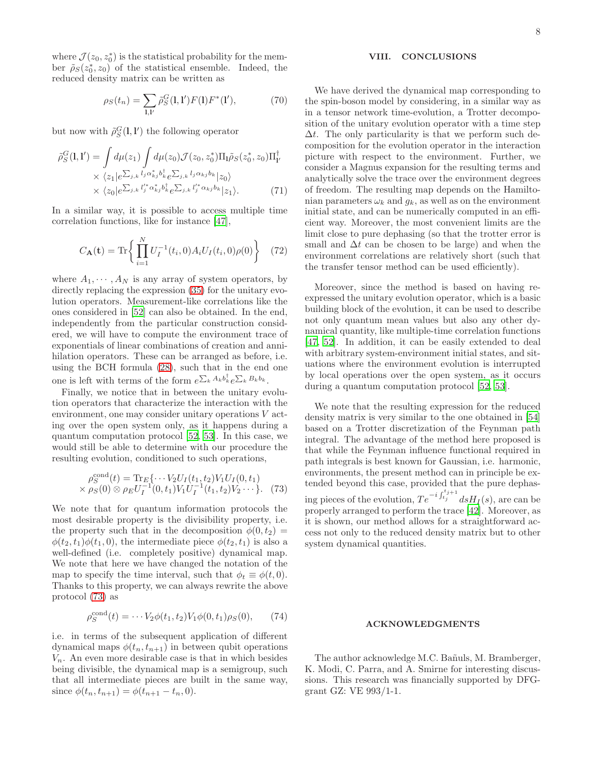where  $\mathcal{J}(z_0, z_0^*)$  is the statistical probability for the member  $\tilde{\rho}_S(z_0^*, z_0)$  of the statistical ensemble. Indeed, the reduced density matrix can be written as

<span id="page-7-0"></span>
$$
\rho_S(t_n) = \sum_{\mathbf{l}, \mathbf{l}'} \tilde{\rho}_S^G(\mathbf{l}, \mathbf{l}') F(\mathbf{l}) F^*(\mathbf{l}'),\tag{70}
$$

but now with  $\tilde{\rho}_{S}^{G}(1,1')$  the following operator

$$
\tilde{\rho}_S^G(1,1') = \int d\mu(z_1) \int d\mu(z_0) \mathcal{J}(z_0, z_0^*) \Pi_1 \tilde{\rho}_S(z_0^*, z_0) \Pi_{1'}^{\dagger} \times \langle z_1 | e^{\sum_{j,k} l_j \alpha_{kj}^* b_k^{\dagger}} e^{\sum_{j,k} l_j \alpha_{kj} b_k} |z_0\rangle \times \langle z_0 | e^{\sum_{j,k} l_j'^* \alpha_{kj}^* b_k^{\dagger}} e^{\sum_{j,k} l_j'^* \alpha_{kj} b_k} |z_1\rangle.
$$
\n(71)

In a similar way, it is possible to access multiple time correlation functions, like for instance [\[47\]](#page-9-3),

$$
C_{\mathbf{A}}(\mathbf{t}) = \text{Tr}\left\{ \prod_{i=1}^{N} U_I^{-1}(t_i, 0) A_i U_I(t_i, 0) \rho(0) \right\} \quad (72)
$$

where  $A_1, \dots, A_N$  is any array of system operators, by directly replacing the expression  $(35)$  for the unitary evolution operators. Measurement-like correlations like the ones considered in [\[52](#page-9-8)] can also be obtained. In the end, independently from the particular construction considered, we will have to compute the environment trace of exponentials of linear combinations of creation and annihilation operators. These can be arranged as before, i.e. using the BCH formula [\(28\)](#page-3-12), such that in the end one one is left with terms of the form  $e^{\sum_k A_k b_k^{\dagger}} e^{\sum_k B_k b_k}$ .

Finally, we notice that in between the unitary evolution operators that characterize the interaction with the environment, one may consider unitary operations V acting over the open system only, as it happens during a quantum computation protocol [\[52,](#page-9-8) [53\]](#page-9-9). In this case, we would still be able to determine with our procedure the resulting evolution, conditioned to such operations,

<span id="page-7-1"></span>
$$
\rho_S^{\text{cond}}(t) = \text{Tr}_E\{\cdots V_2 U_I(t_1, t_2) V_1 U_I(0, t_1) \times \rho_S(0) \otimes \rho_E U_I^{-1}(0, t_1) V_1 U_I^{-1}(t_1, t_2) V_2 \cdots\}.
$$
 (73)

We note that for quantum information protocols the most desirable property is the divisibility property, i.e. the property such that in the decomposition  $\phi(0, t_2)$  =  $\phi(t_2, t_1)\phi(t_1, 0)$ , the intermediate piece  $\phi(t_2, t_1)$  is also a well-defined (i.e. completely positive) dynamical map. We note that here we have changed the notation of the map to specify the time interval, such that  $\phi_t \equiv \phi(t, 0)$ . Thanks to this property, we can always rewrite the above protocol [\(73\)](#page-7-1) as

$$
\rho_S^{\text{cond}}(t) = \cdots V_2 \phi(t_1, t_2) V_1 \phi(0, t_1) \rho_S(0), \qquad (74)
$$

i.e. in terms of the subsequent application of different dynamical maps  $\phi(t_n, t_{n+1})$  in between qubit operations  $V_n$ . An even more desirable case is that in which besides being divisible, the dynamical map is a semigroup, such that all intermediate pieces are built in the same way, since  $\phi(t_n, t_{n+1}) = \phi(t_{n+1} - t_n, 0)$ .

# VIII. CONCLUSIONS

We have derived the dynamical map corresponding to the spin-boson model by considering, in a similar way as in a tensor network time-evolution, a Trotter decomposition of the unitary evolution operator with a time step  $\Delta t$ . The only particularity is that we perform such decomposition for the evolution operator in the interaction picture with respect to the environment. Further, we consider a Magnus expansion for the resulting terms and analytically solve the trace over the environment degrees of freedom. The resulting map depends on the Hamiltonian parameters  $\omega_k$  and  $g_k$ , as well as on the environment initial state, and can be numerically computed in an efficient way. Moreover, the most convenient limits are the limit close to pure dephasing (so that the trotter error is small and  $\Delta t$  can be chosen to be large) and when the environment correlations are relatively short (such that the transfer tensor method can be used efficiently).

Moreover, since the method is based on having reexpressed the unitary evolution operator, which is a basic building block of the evolution, it can be used to describe not only quantum mean values but also any other dynamical quantity, like multiple-time correlation functions [\[47,](#page-9-3) [52\]](#page-9-8). In addition, it can be easily extended to deal with arbitrary system-environment initial states, and situations where the environment evolution is interrupted by local operations over the open system, as it occurs during a quantum computation protocol [\[52,](#page-9-8) [53\]](#page-9-9).

We note that the resulting expression for the reduced density matrix is very similar to the one obtained in [\[54](#page-9-10)] based on a Trotter discretization of the Feynman path integral. The advantage of the method here proposed is that while the Feynman influence functional required in path integrals is best known for Gaussian, i.e. harmonic, environments, the present method can in principle be extended beyond this case, provided that the pure dephasing pieces of the evolution,  $Te^{-i\int_{t_j}^{t_{j+1}}} ds H_I(s)$ , are can be properly arranged to perform the trace [\[42\]](#page-8-33). Moreover, as it is shown, our method allows for a straightforward access not only to the reduced density matrix but to other system dynamical quantities.

## ACKNOWLEDGMENTS

The author acknowledge M.C. Bañuls, M. Bramberger, K. Modi, C. Parra, and A. Smirne for interesting discussions. This research was financially supported by DFGgrant GZ: VE 993/1-1.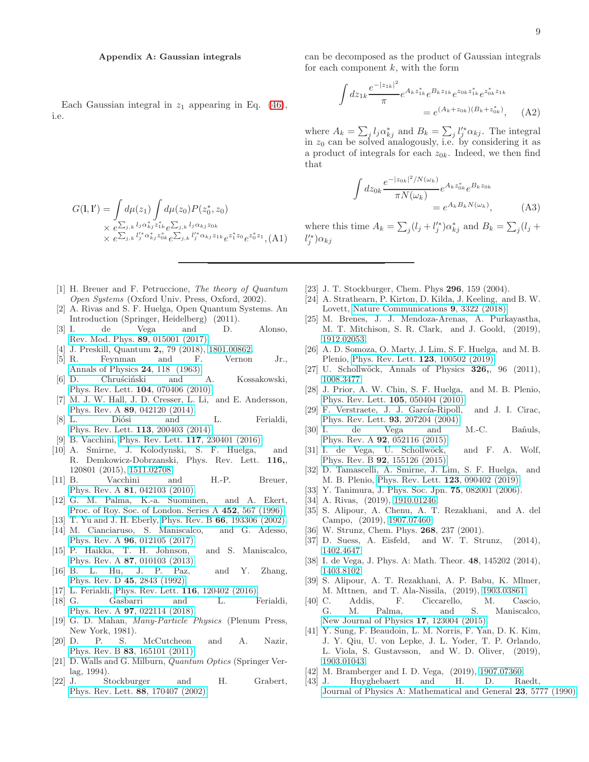# <span id="page-8-35"></span>Appendix A: Gaussian integrals

Each Gaussian integral in  $z_1$  appearing in Eq. [\(46\)](#page-4-2), i.e.

$$
G(\mathbf{l}, \mathbf{l}') = \int d\mu(z_1) \int d\mu(z_0) P(z_0^*, z_0)
$$
  
×  $e^{\sum_{j,k} l_j \alpha_{kj}^* z_{1k}^*} e^{\sum_{j,k} l_j \alpha_{kj} z_{0k}}$   
×  $e^{\sum_{j,k} l'_j^* \alpha_{kj}^* z_{0k}^*} e^{\sum_{j,k} l'_j^* \alpha_{kj} z_{1k}} e^{z_1^* z_0} e^{z_0^* z_1},$  (A1)

- <span id="page-8-0"></span>[1] H. Breuer and F. Petruccione, The theory of Quantum Open Systems (Oxford Univ. Press, Oxford, 2002).
- [2] A. Rivas and S. F. Huelga, Open Quantum Systems. An Introduction (Springer, Heidelberg) (2011).
- <span id="page-8-1"></span>[3] I. de Vega and D. Alonso, [Rev. Mod. Phys.](http://dx.doi.org/10.1103/RevModPhys.89.015001) 89, 015001 (2017).
- <span id="page-8-2"></span>[4] J. Preskill, Quantum 2,, 79 (2018), [1801.00862.](http://arxiv.org/abs/1801.00862)
- <span id="page-8-3"></span>[5] R. Feynman and F. Vernon Jr., [Annals of Physics](http://dx.doi.org/ http://dx.doi.org/10.1016/0003-4916(63)90068-X) 24, 118 (1963).
- <span id="page-8-4"></span>[6] D. Chruściński and A. Kossakowski, [Phys. Rev. Lett.](http://dx.doi.org/10.1103/PhysRevLett.104.070406) 104, 070406 (2010).
- <span id="page-8-5"></span>[7] M. J. W. Hall, J. D. Cresser, L. Li, and E. Andersson, Phys. Rev. A 89[, 042120 \(2014\).](http://dx.doi.org/10.1103/PhysRevA.89.042120)
- <span id="page-8-6"></span>[8] L. Diósi and L. Ferialdi, [Phys. Rev. Lett.](http://dx.doi.org/10.1103/PhysRevLett.113.200403) 113, 200403 (2014).
- [9] B. Vacchini, [Phys. Rev. Lett.](http://dx.doi.org/10.1103/PhysRevLett.117.230401) 117, 230401 (2016).
- <span id="page-8-7"></span>[10] A. Smirne, J. Kolodynski, S. F. Huelga, and R. Demkowicz-Dobrzanski, Phys. Rev. Lett. 116,, 120801 (2015), [1511.02708.](http://arxiv.org/abs/1511.02708)
- <span id="page-8-8"></span>[11] B. Vacchini and H.-P. Breuer, Phys. Rev. A 81[, 042103 \(2010\).](http://dx.doi.org/10.1103/PhysRevA.81.042103)
- <span id="page-8-9"></span>[12] G. M. Palma, K.-a. Suominen, and A. Ekert, [Proc. of Roy. Soc. of London. Series A](http://dx.doi.org/10.1098/rspa.1996.0029) 452, 567 (1996).
- <span id="page-8-31"></span>[13] T. Yu and J. H. Eberly, Phys. Rev. B 66[, 193306 \(2002\).](http://dx.doi.org/10.1103/PhysRevB.66.193306)
- [14] M. Cianciaruso, S. Maniscalco, and G. Adesso, Phys. Rev. A 96[, 012105 \(2017\).](http://dx.doi.org/10.1103/PhysRevA.96.012105)
- <span id="page-8-10"></span>[15] P. Haikka, T. H. Johnson, and S. Maniscalco, Phys. Rev. A 87[, 010103 \(2013\).](http://dx.doi.org/10.1103/PhysRevA.87.010103)
- <span id="page-8-11"></span>[16] B. L. Hu, J. P. Paz, and Y. Zhang, [Phys. Rev. D](http://dx.doi.org/10.1103/PhysRevD.45.2843) 45, 2843 (1992).
- <span id="page-8-12"></span>[17] L. Ferialdi, [Phys. Rev. Lett.](http://dx.doi.org/10.1103/PhysRevLett.116.120402) 116, 120402 (2016).
- <span id="page-8-13"></span>[18] G. Gasbarri and L. Ferialdi, Phys. Rev. A 97[, 022114 \(2018\).](http://dx.doi.org/10.1103/PhysRevA.97.022114)
- <span id="page-8-14"></span>[19] G. D. Mahan, Many-Particle Physics (Plenum Press, New York, 1981).
- <span id="page-8-15"></span>[20] D. P. S. McCutcheon and A. Nazir, Phys. Rev. B 83[, 165101 \(2011\).](http://dx.doi.org/10.1103/PhysRevB.83.165101)
- <span id="page-8-16"></span>[21] D. Walls and G. Milburn, Quantum Optics (Springer Verlag, 1994).<br>J. St
- <span id="page-8-17"></span>[22] J. Stockburger and H. Grabert, [Phys. Rev. Lett.](http://dx.doi.org/10.1103/PhysRevLett.88.170407) 88, 170407 (2002).

can be decomposed as the product of Gaussian integrals for each component  $k$ , with the form

$$
\int dz_{1k} \frac{e^{-|z_{1k}|^2}}{\pi} e^{A_k z_{1k}^*} e^{B_k z_{1k}} e^{z_{0k} z_{1k}^*} e^{z_{0k}^* z_{1k}^*}
$$
\n
$$
= e^{(A_k + z_{0k})(B_k + z_{0k}^*)}, \quad (A2)
$$

where  $A_k = \sum_j l_j \alpha_{kj}^*$  and  $B_k = \sum_j l_j'^* \alpha_{kj}$ . The integral in  $z_0$  can be solved analogously, i.e. by considering it as a product of integrals for each  $z_{0k}$ . Indeed, we then find that

$$
\int dz_{0k} \frac{e^{-|z_{0k}|^{2}/N(\omega_{k})}}{\pi N(\omega_{k})} e^{A_{k}z_{0k}^{*}} e^{B_{k}z_{0k}}
$$
\n
$$
= e^{A_{k}B_{k}N(\omega_{k})}, \qquad (A3)
$$

where this time  $A_k = \sum_j (l_j + l'^*_j) \alpha^*_{kj}$  and  $B_k = \sum_j (l_j + l'^*_j)$  $l_j^{\prime*}) \alpha_{kj}$ 

- <span id="page-8-18"></span>[23] J. T. Stockburger, Chem. Phys **296**, 159 (2004).
- <span id="page-8-19"></span>[24] A. Strathearn, P. Kirton, D. Kilda, J. Keeling, and B. W. Lovett, [Nature Communications](http://dx.doi.org/ 10.1038/s41467-018-05617-3) 9, 3322 (2018).
- [25] M. Brenes, J. J. Mendoza-Arenas, A. Purkayastha, M. T. Mitchison, S. R. Clark, and J. Goold, (2019), [1912.02053.](http://arxiv.org/abs/1912.02053)
- <span id="page-8-20"></span>[26] A. D. Somoza, O. Marty, J. Lim, S. F. Huelga, and M. B. Plenio, [Phys. Rev. Lett.](http://dx.doi.org/ 10.1103/PhysRevLett.123.100502) 123, 100502 (2019).
- <span id="page-8-21"></span>[27] U. Schollwöck, Annals of Physics 326,, 96 (2011), [1008.3477.](http://arxiv.org/abs/1008.3477)
- <span id="page-8-22"></span>[28] J. Prior, A. W. Chin, S. F. Huelga, and M. B. Plenio, [Phys. Rev. Lett.](http://dx.doi.org/10.1103/PhysRevLett.105.050404) 105, 050404 (2010).
- <span id="page-8-23"></span>[29] F. Verstraete, J. J. García-Ripoll, and J. I. Cirac, [Phys. Rev. Lett.](http://dx.doi.org/10.1103/PhysRevLett.93.207204) 93, 207204 (2004).
- [30] I. de Vega and M.-C. Bañuls, Phys. Rev. A 92[, 052116 \(2015\).](http://dx.doi.org/10.1103/PhysRevA.92.052116)
- [31] I. de Vega, U. Schollwöck, and F. A. Wolf, Phys. Rev. B 92[, 155126 \(2015\).](http://dx.doi.org/10.1103/PhysRevB.92.155126)
- <span id="page-8-24"></span>[32] D. Tamascelli, A. Smirne, J. Lim, S. F. Huelga, and M. B. Plenio, [Phys. Rev. Lett.](http://dx.doi.org/ 10.1103/PhysRevLett.123.090402) 123, 090402 (2019).
- <span id="page-8-25"></span>[33] Y. Tanimura, J. Phys. Soc. Jpn. **75**, 082001 (2006).
- <span id="page-8-26"></span>[34] A. Rivas, (2019), [1910.01246.](http://arxiv.org/abs/1910.01246)
- <span id="page-8-27"></span>[35] S. Alipour, A. Chenu, A. T. Rezakhani, and A. del Campo, (2019), [1907.07460.](http://arxiv.org/abs/1907.07460)
- <span id="page-8-28"></span>[36] W. Strunz, Chem. Phys. **268**, 237 (2001).
- [37] D. Suess, A. Eisfeld, and W. T. Strunz, (2014), [1402.4647.](http://arxiv.org/abs/1402.4647)
- <span id="page-8-29"></span>[38] I. de Vega, J. Phys. A: Math. Theor. 48, 145202 (2014), [1403.8102.](http://arxiv.org/abs/1403.8102)
- <span id="page-8-30"></span>[39] S. Alipour, A. T. Rezakhani, A. P. Babu, K. Mlmer, M. Mttnen, and T. Ala-Nissila, (2019), [1903.03861.](http://arxiv.org/abs/1903.03861)
- <span id="page-8-32"></span>[40] C. Addis, F. Ciccarello, M. Cascio, G. M. Palma, and S. Maniscalco, [New Journal of Physics](http://dx.doi.org/ 10.1088/1367-2630/17/12/123004) 17, 123004 (2015).
- [41] Y. Sung, F. Beaudoin, L. M. Norris, F. Yan, D. K. Kim, J. Y. Qiu, U. von Lepke, J. L. Yoder, T. P. Orlando, L. Viola, S. Gustavsson, and W. D. Oliver, (2019), [1903.01043.](http://arxiv.org/abs/1903.01043)
- <span id="page-8-33"></span>[42] M. Bramberger and I. D. Vega, (2019), [1907.07360.](http://arxiv.org/abs/1907.07360)
- <span id="page-8-34"></span>Huyghebaert and H. D. Raedt, [Journal of Physics A: Mathematical and General](http://dx.doi.org/10.1088/0305-4470/23/24/019) 23, 5777 (1990).